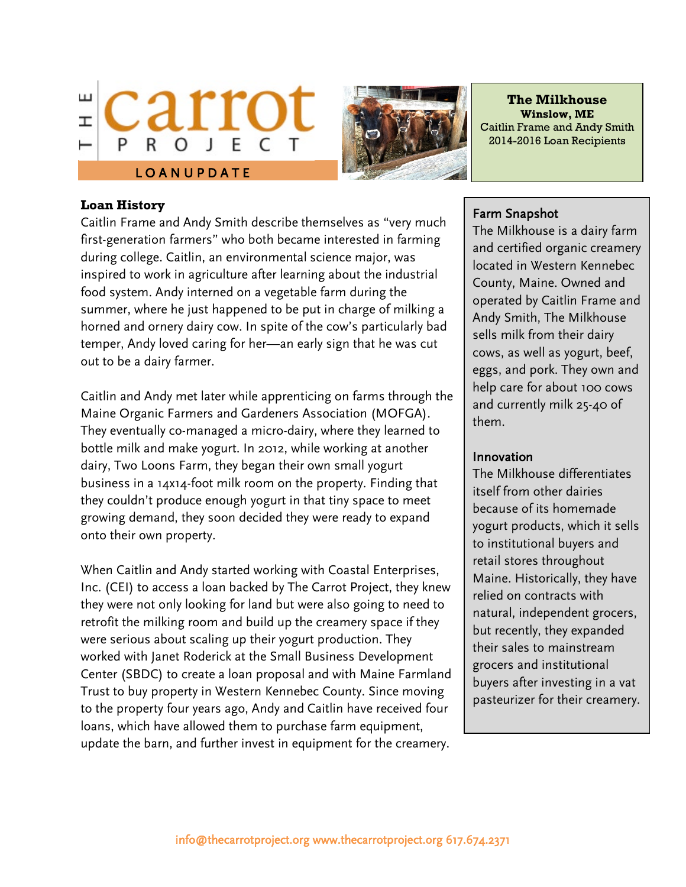



**The Milkhouse Winslow, ME** Caitlin Frame and Andy Smith 2014-2016 Loan Recipients

## **Loan History**

Caitlin Frame and Andy Smith describe themselves as "very much first-generation farmers" who both became interested in farming during college. Caitlin, an environmental science major, was inspired to work in agriculture after learning about the industrial food system. Andy interned on a vegetable farm during the summer, where he just happened to be put in charge of milking a horned and ornery dairy cow. In spite of the cow's particularly bad temper, Andy loved caring for her—an early sign that he was cut out to be a dairy farmer.

Caitlin and Andy met later while apprenticing on farms through the Maine Organic Farmers and Gardeners Association (MOFGA). They eventually co-managed a micro-dairy, where they learned to bottle milk and make yogurt. In 2012, while working at another dairy, Two Loons Farm, they began their own small yogurt business in a 14x14-foot milk room on the property. Finding that they couldn't produce enough yogurt in that tiny space to meet growing demand, they soon decided they were ready to expand onto their own property.

When Caitlin and Andy started working with Coastal Enterprises, Inc. (CEI) to access a loan backed by The Carrot Project, they knew they were not only looking for land but were also going to need to retrofit the milking room and build up the creamery space if they were serious about scaling up their yogurt production. They worked with Janet Roderick at the Small Business Development Center (SBDC) to create a loan proposal and with Maine Farmland Trust to buy property in Western Kennebec County. Since moving to the property four years ago, Andy and Caitlin have received four loans, which have allowed them to purchase farm equipment, update the barn, and further invest in equipment for the creamery.

## Farm Snapshot

The Milkhouse is a dairy farm and certified organic creamery located in Western Kennebec County, Maine. Owned and operated by Caitlin Frame and Andy Smith, The Milkhouse sells milk from their dairy cows, as well as yogurt, beef, eggs, and pork. They own and help care for about 100 cows and currently milk 25-40 of them.

# Innovation

The Milkhouse differentiates itself from other dairies because of its homemade yogurt products, which it sells to institutional buyers and retail stores throughout Maine. Historically, they have relied on contracts with natural, independent grocers, but recently, they expanded their sales to mainstream grocers and institutional buyers after investing in a vat pasteurizer for their creamery.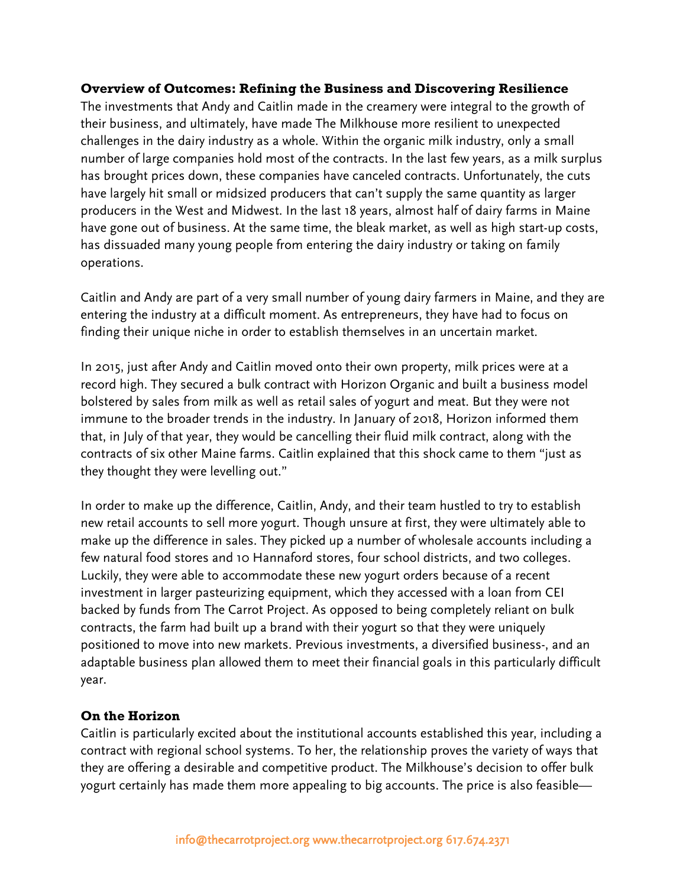## **Overview of Outcomes: Refining the Business and Discovering Resilience**

The investments that Andy and Caitlin made in the creamery were integral to the growth of their business, and ultimately, have made The Milkhouse more resilient to unexpected challenges in the dairy industry as a whole. Within the organic milk industry, only a small number of large companies hold most of the contracts. In the last few years, as a milk surplus has brought prices down, these companies have canceled contracts. Unfortunately, the cuts have largely hit small or midsized producers that can't supply the same quantity as larger producers in the West and Midwest. In the last 18 years, almost half of dairy farms in Maine have gone out of business. At the same time, the bleak market, as well as high start-up costs, has dissuaded many young people from entering the dairy industry or taking on family operations.

Caitlin and Andy are part of a very small number of young dairy farmers in Maine, and they are entering the industry at a difficult moment. As entrepreneurs, they have had to focus on finding their unique niche in order to establish themselves in an uncertain market.

In 2015, just after Andy and Caitlin moved onto their own property, milk prices were at a record high. They secured a bulk contract with Horizon Organic and built a business model bolstered by sales from milk as well as retail sales of yogurt and meat. But they were not immune to the broader trends in the industry. In January of 2018, Horizon informed them that, in July of that year, they would be cancelling their fluid milk contract, along with the contracts of six other Maine farms. Caitlin explained that this shock came to them "just as they thought they were levelling out."

In order to make up the difference, Caitlin, Andy, and their team hustled to try to establish new retail accounts to sell more yogurt. Though unsure at first, they were ultimately able to make up the difference in sales. They picked up a number of wholesale accounts including a few natural food stores and 10 Hannaford stores, four school districts, and two colleges. Luckily, they were able to accommodate these new yogurt orders because of a recent investment in larger pasteurizing equipment, which they accessed with a loan from CEI backed by funds from The Carrot Project. As opposed to being completely reliant on bulk contracts, the farm had built up a brand with their yogurt so that they were uniquely positioned to move into new markets. Previous investments, a diversified business-, and an adaptable business plan allowed them to meet their financial goals in this particularly difficult year.

#### **On the Horizon**

Caitlin is particularly excited about the institutional accounts established this year, including a contract with regional school systems. To her, the relationship proves the variety of ways that they are offering a desirable and competitive product. The Milkhouse's decision to offer bulk yogurt certainly has made them more appealing to big accounts. The price is also feasible